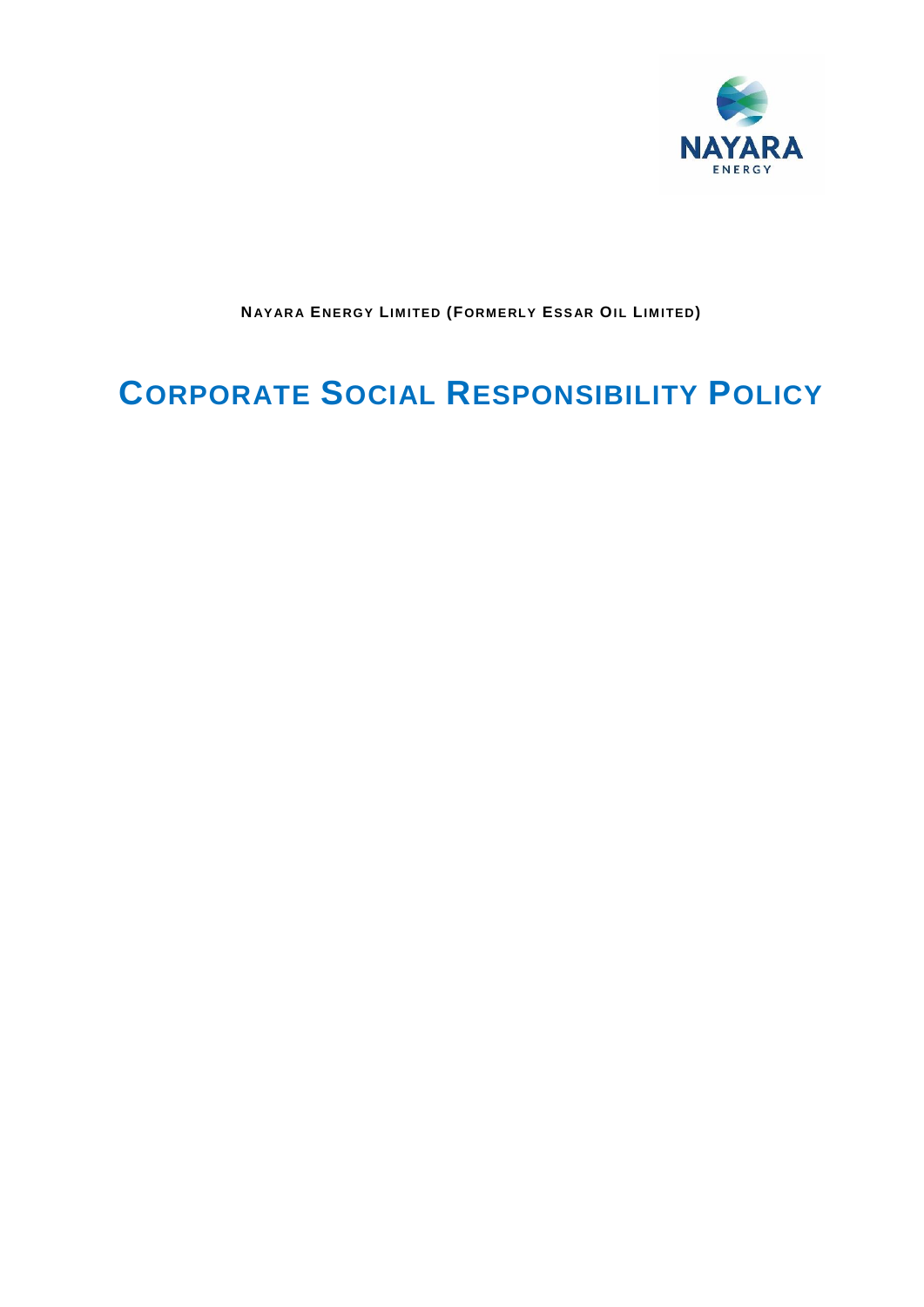

NAYARA ENERGY LIMITED (FORMERLY ESSAR OIL LIMITED)

# **CORPORATE SOCIAL RESPONSIBILITY POLICY**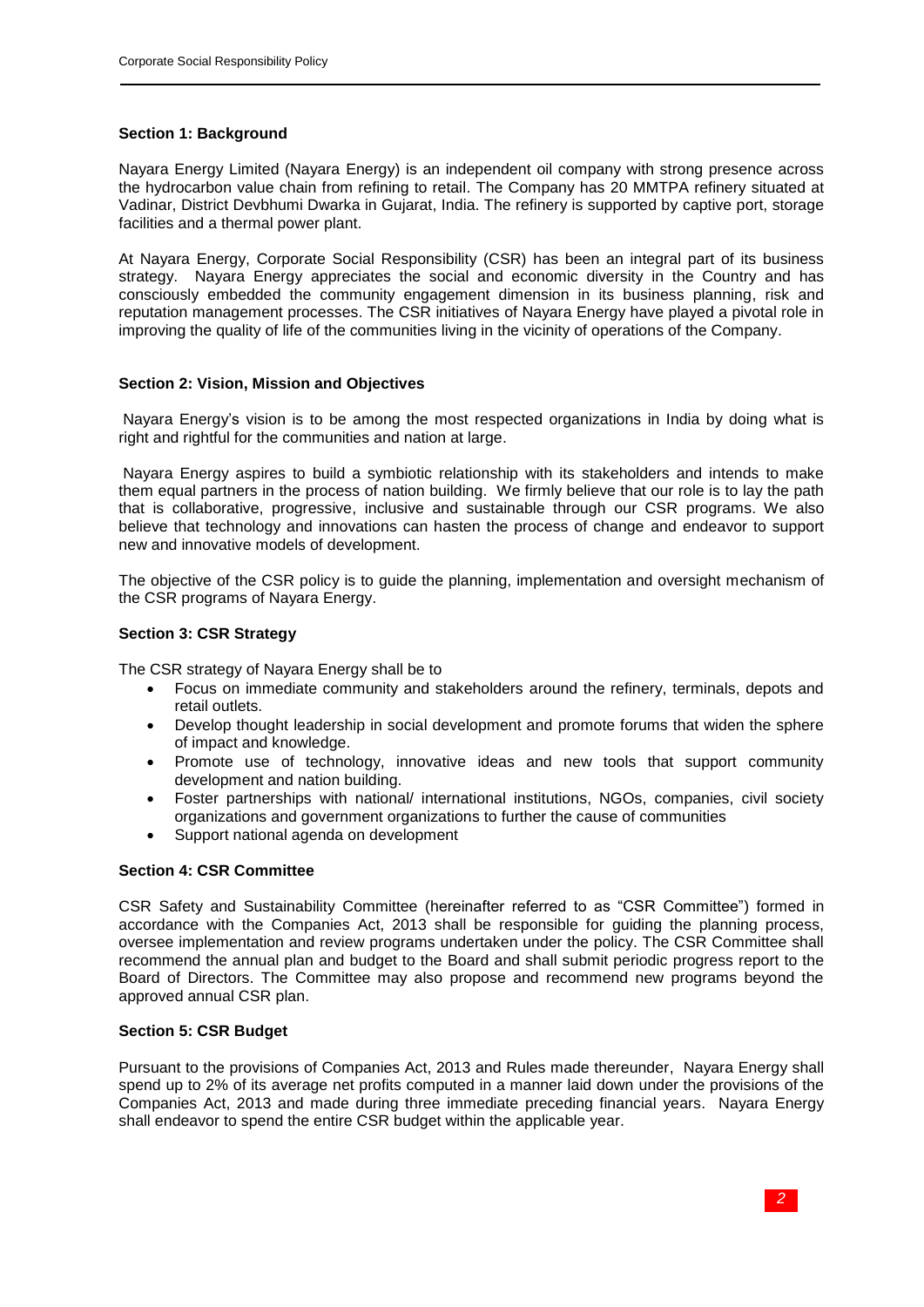# **Section 1: Background**

Nayara Energy Limited (Nayara Energy) is an independent oil company with strong presence across the hydrocarbon value chain from refining to retail. The Company has 20 MMTPA refinery situated at Vadinar, District Devbhumi Dwarka in Gujarat, India. The refinery is supported by captive port, storage facilities and a thermal power plant.

At Nayara Energy, Corporate Social Responsibility (CSR) has been an integral part of its business strategy. Nayara Energy appreciates the social and economic diversity in the Country and has consciously embedded the community engagement dimension in its business planning, risk and reputation management processes. The CSR initiatives of Nayara Energy have played a pivotal role in improving the quality of life of the communities living in the vicinity of operations of the Company.

# **Section 2: Vision, Mission and Objectives**

Nayara Energy's vision is to be among the most respected organizations in India by doing what is right and rightful for the communities and nation at large.

Nayara Energy aspires to build a symbiotic relationship with its stakeholders and intends to make them equal partners in the process of nation building. We firmly believe that our role is to lay the path that is collaborative, progressive, inclusive and sustainable through our CSR programs. We also believe that technology and innovations can hasten the process of change and endeavor to support new and innovative models of development.

The objective of the CSR policy is to guide the planning, implementation and oversight mechanism of the CSR programs of Nayara Energy.

# **Section 3: CSR Strategy**

The CSR strategy of Nayara Energy shall be to

- Focus on immediate community and stakeholders around the refinery, terminals, depots and retail outlets.
- Develop thought leadership in social development and promote forums that widen the sphere of impact and knowledge.
- Promote use of technology, innovative ideas and new tools that support community development and nation building.
- Foster partnerships with national/ international institutions, NGOs, companies, civil society organizations and government organizations to further the cause of communities
- Support national agenda on development

# **Section 4: CSR Committee**

CSR Safety and Sustainability Committee (hereinafter referred to as "CSR Committee") formed in accordance with the Companies Act, 2013 shall be responsible for guiding the planning process, oversee implementation and review programs undertaken under the policy. The CSR Committee shall recommend the annual plan and budget to the Board and shall submit periodic progress report to the Board of Directors. The Committee may also propose and recommend new programs beyond the approved annual CSR plan.

# **Section 5: CSR Budget**

Pursuant to the provisions of Companies Act, 2013 and Rules made thereunder, Nayara Energy shall spend up to 2% of its average net profits computed in a manner laid down under the provisions of the Companies Act, 2013 and made during three immediate preceding financial years. Nayara Energy shall endeavor to spend the entire CSR budget within the applicable year.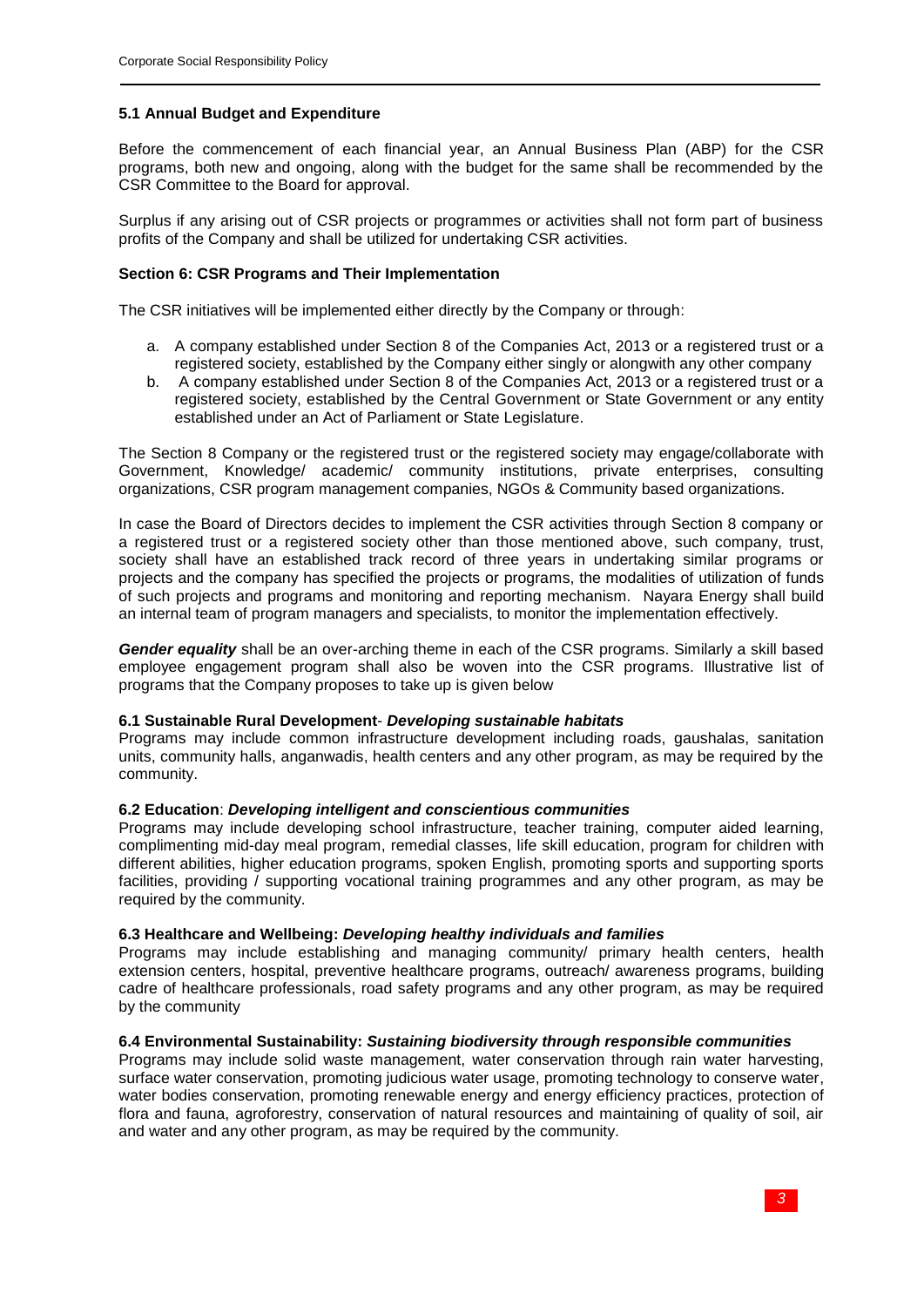# **5.1 Annual Budget and Expenditure**

Before the commencement of each financial year, an Annual Business Plan (ABP) for the CSR programs, both new and ongoing, along with the budget for the same shall be recommended by the CSR Committee to the Board for approval.

Surplus if any arising out of CSR projects or programmes or activities shall not form part of business profits of the Company and shall be utilized for undertaking CSR activities.

#### **Section 6: CSR Programs and Their Implementation**

The CSR initiatives will be implemented either directly by the Company or through:

- a. A company established under Section 8 of the Companies Act, 2013 or a registered trust or a registered society, established by the Company either singly or alongwith any other company
- b. A company established under Section 8 of the Companies Act, 2013 or a registered trust or a registered society, established by the Central Government or State Government or any entity established under an Act of Parliament or State Legislature.

The Section 8 Company or the registered trust or the registered society may engage/collaborate with Government, Knowledge/ academic/ community institutions, private enterprises, consulting organizations, CSR program management companies, NGOs & Community based organizations.

In case the Board of Directors decides to implement the CSR activities through Section 8 company or a registered trust or a registered society other than those mentioned above, such company, trust, society shall have an established track record of three years in undertaking similar programs or projects and the company has specified the projects or programs, the modalities of utilization of funds of such projects and programs and monitoring and reporting mechanism. Nayara Energy shall build an internal team of program managers and specialists, to monitor the implementation effectively.

*Gender equality* shall be an over-arching theme in each of the CSR programs. Similarly a skill based employee engagement program shall also be woven into the CSR programs. Illustrative list of programs that the Company proposes to take up is given below

# **6.1 Sustainable Rural Development**- *Developing sustainable habitats*

Programs may include common infrastructure development including roads, gaushalas, sanitation units, community halls, anganwadis, health centers and any other program, as may be required by the community.

# **6.2 Education**: *Developing intelligent and conscientious communities*

Programs may include developing school infrastructure, teacher training, computer aided learning, complimenting mid-day meal program, remedial classes, life skill education, program for children with different abilities, higher education programs, spoken English, promoting sports and supporting sports facilities, providing / supporting vocational training programmes and any other program, as may be required by the community.

#### **6.3 Healthcare and Wellbeing:** *Developing healthy individuals and families*

Programs may include establishing and managing community/ primary health centers, health extension centers, hospital, preventive healthcare programs, outreach/ awareness programs, building cadre of healthcare professionals, road safety programs and any other program, as may be required by the community

#### **6.4 Environmental Sustainability:** *Sustaining biodiversity through responsible communities*

Programs may include solid waste management, water conservation through rain water harvesting, surface water conservation, promoting judicious water usage, promoting technology to conserve water, water bodies conservation, promoting renewable energy and energy efficiency practices, protection of flora and fauna, agroforestry, conservation of natural resources and maintaining of quality of soil, air and water and any other program, as may be required by the community.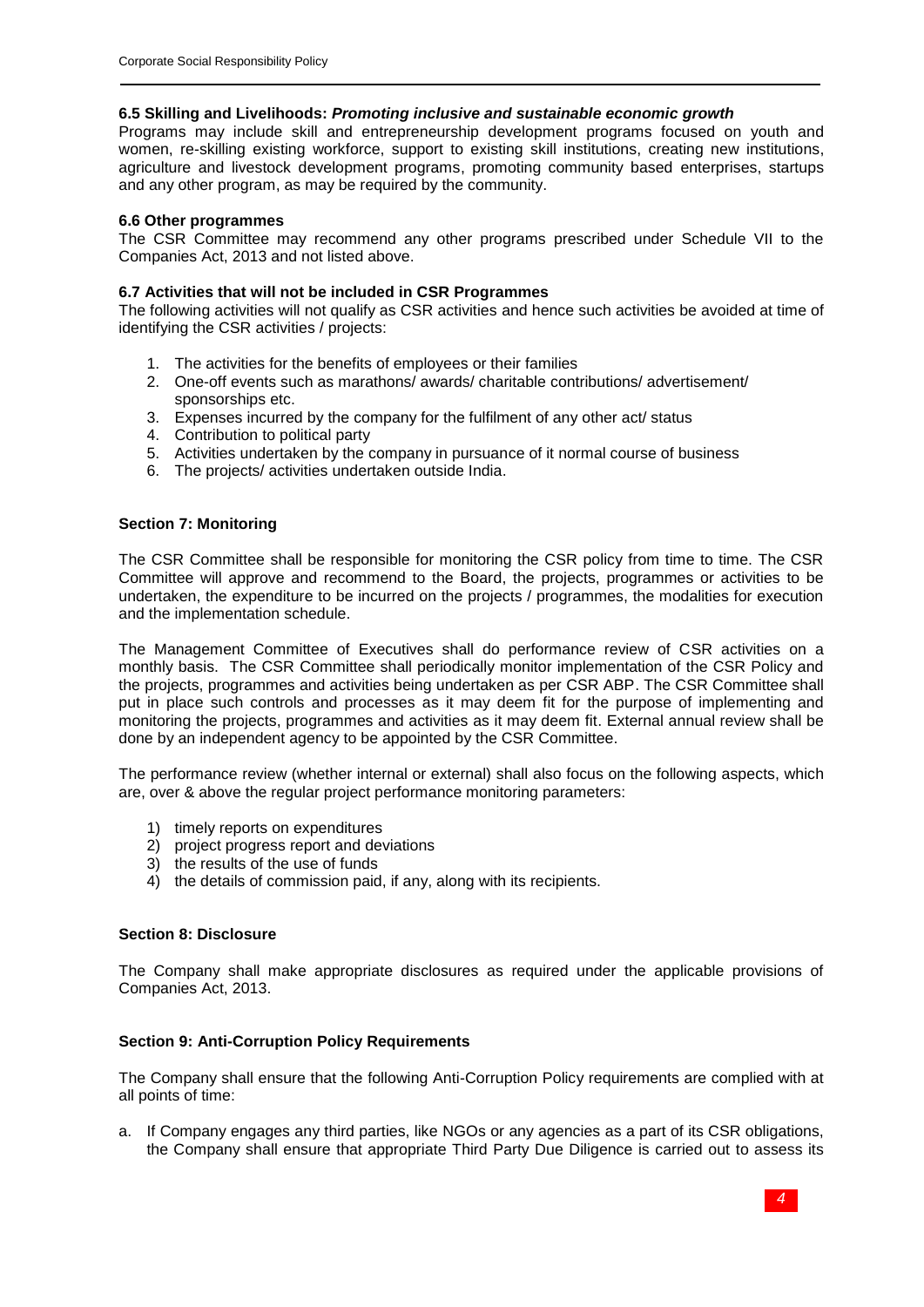# **6.5 Skilling and Livelihoods:** *Promoting inclusive and sustainable economic growth*

Programs may include skill and entrepreneurship development programs focused on youth and women, re-skilling existing workforce, support to existing skill institutions, creating new institutions, agriculture and livestock development programs, promoting community based enterprises, startups and any other program, as may be required by the community.

# **6.6 Other programmes**

The CSR Committee may recommend any other programs prescribed under Schedule VII to the Companies Act, 2013 and not listed above.

# **6.7 Activities that will not be included in CSR Programmes**

The following activities will not qualify as CSR activities and hence such activities be avoided at time of identifying the CSR activities / projects:

- 1. The activities for the benefits of employees or their families
- 2. One-off events such as marathons/ awards/ charitable contributions/ advertisement/ sponsorships etc.
- 3. Expenses incurred by the company for the fulfilment of any other act/ status
- 4. Contribution to political party
- 5. Activities undertaken by the company in pursuance of it normal course of business
- 6. The projects/ activities undertaken outside India.

# **Section 7: Monitoring**

The CSR Committee shall be responsible for monitoring the CSR policy from time to time. The CSR Committee will approve and recommend to the Board, the projects, programmes or activities to be undertaken, the expenditure to be incurred on the projects / programmes, the modalities for execution and the implementation schedule.

The Management Committee of Executives shall do performance review of CSR activities on a monthly basis. The CSR Committee shall periodically monitor implementation of the CSR Policy and the projects, programmes and activities being undertaken as per CSR ABP. The CSR Committee shall put in place such controls and processes as it may deem fit for the purpose of implementing and monitoring the projects, programmes and activities as it may deem fit. External annual review shall be done by an independent agency to be appointed by the CSR Committee.

The performance review (whether internal or external) shall also focus on the following aspects, which are, over & above the regular project performance monitoring parameters:

- 1) timely reports on expenditures
- 2) project progress report and deviations
- 3) the results of the use of funds
- 4) the details of commission paid, if any, along with its recipients.

# **Section 8: Disclosure**

The Company shall make appropriate disclosures as required under the applicable provisions of Companies Act, 2013.

# **Section 9: Anti-Corruption Policy Requirements**

The Company shall ensure that the following Anti-Corruption Policy requirements are complied with at all points of time:

a. If Company engages any third parties, like NGOs or any agencies as a part of its CSR obligations, the Company shall ensure that appropriate Third Party Due Diligence is carried out to assess its